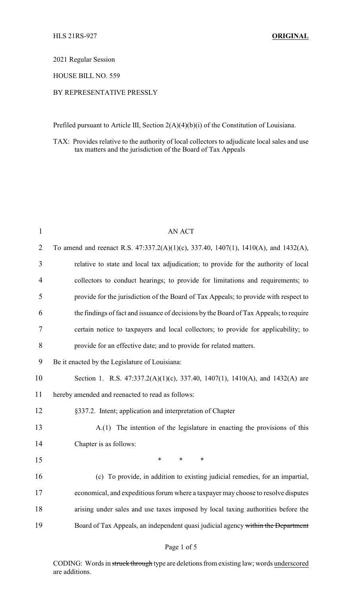2021 Regular Session

HOUSE BILL NO. 559

# BY REPRESENTATIVE PRESSLY

Prefiled pursuant to Article III, Section 2(A)(4)(b)(i) of the Constitution of Louisiana.

TAX: Provides relative to the authority of local collectors to adjudicate local sales and use tax matters and the jurisdiction of the Board of Tax Appeals

| $\mathbf{1}$   | <b>AN ACT</b>                                                                          |
|----------------|----------------------------------------------------------------------------------------|
| $\overline{2}$ | To amend and reenact R.S. 47:337.2(A)(1)(c), 337.40, 1407(1), 1410(A), and 1432(A),    |
| 3              | relative to state and local tax adjudication; to provide for the authority of local    |
| $\overline{4}$ | collectors to conduct hearings; to provide for limitations and requirements; to        |
| 5              | provide for the jurisdiction of the Board of Tax Appeals; to provide with respect to   |
| 6              | the findings of fact and issuance of decisions by the Board of Tax Appeals; to require |
| $\overline{7}$ | certain notice to taxpayers and local collectors; to provide for applicability; to     |
| 8              | provide for an effective date; and to provide for related matters.                     |
| 9              | Be it enacted by the Legislature of Louisiana:                                         |
| 10             | Section 1. R.S. 47:337.2(A)(1)(c), 337.40, 1407(1), 1410(A), and 1432(A) are           |
| 11             | hereby amended and reenacted to read as follows:                                       |
| 12             | §337.2. Intent; application and interpretation of Chapter                              |
| 13             | A.(1) The intention of the legislature in enacting the provisions of this              |
| 14             | Chapter is as follows:                                                                 |
| 15             | $\ast$<br>*<br>$\ast$                                                                  |
| 16             | (c) To provide, in addition to existing judicial remedies, for an impartial,           |
| 17             | economical, and expeditious forum where a taxpayer may choose to resolve disputes      |
| 18             | arising under sales and use taxes imposed by local taxing authorities before the       |
| 19             | Board of Tax Appeals, an independent quasi judicial agency within the Department       |
|                |                                                                                        |

## Page 1 of 5

CODING: Words in struck through type are deletions from existing law; words underscored are additions.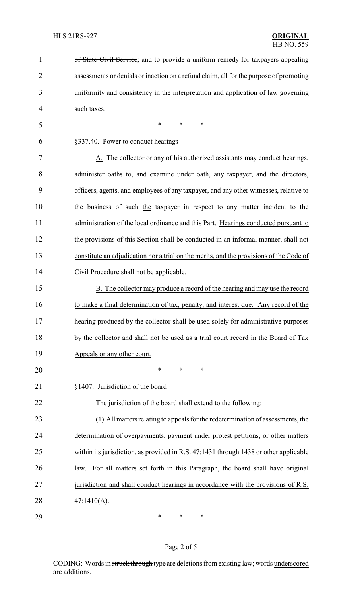| $\mathbf{1}$   | of State Civil Service; and to provide a uniform remedy for taxpayers appealing         |
|----------------|-----------------------------------------------------------------------------------------|
| $\overline{2}$ | assessments or denials or inaction on a refund claim, all for the purpose of promoting  |
| 3              | uniformity and consistency in the interpretation and application of law governing       |
| 4              | such taxes.                                                                             |
| 5              | *<br>$\ast$<br>$\ast$                                                                   |
| 6              | §337.40. Power to conduct hearings                                                      |
| 7              | A. The collector or any of his authorized assistants may conduct hearings,              |
| 8              | administer oaths to, and examine under oath, any taxpayer, and the directors,           |
| 9              | officers, agents, and employees of any taxpayer, and any other witnesses, relative to   |
| 10             | the business of such the taxpayer in respect to any matter incident to the              |
| 11             | administration of the local ordinance and this Part. Hearings conducted pursuant to     |
| 12             | the provisions of this Section shall be conducted in an informal manner, shall not      |
| 13             | constitute an adjudication nor a trial on the merits, and the provisions of the Code of |
| 14             | Civil Procedure shall not be applicable.                                                |
| 15             | B. The collector may produce a record of the hearing and may use the record             |
| 16             | to make a final determination of tax, penalty, and interest due. Any record of the      |
| 17             | hearing produced by the collector shall be used solely for administrative purposes      |
| 18             | by the collector and shall not be used as a trial court record in the Board of Tax      |
| 19             | Appeals or any other court.                                                             |
| 20             | *<br>∗<br>∗                                                                             |
| 21             | §1407. Jurisdiction of the board                                                        |
| 22             | The jurisdiction of the board shall extend to the following:                            |
| 23             | (1) All matters relating to appeals for the redetermination of assessments, the         |
| 24             | determination of overpayments, payment under protest petitions, or other matters        |
| 25             | within its jurisdiction, as provided in R.S. 47:1431 through 1438 or other applicable   |
| 26             | For all matters set forth in this Paragraph, the board shall have original<br>law.      |
| 27             | jurisdiction and shall conduct hearings in accordance with the provisions of R.S.       |
| 28             | $47:1410(A)$ .                                                                          |
| 29             | ∗<br>∗<br>∗                                                                             |

# Page 2 of 5

CODING: Words in struck through type are deletions from existing law; words underscored are additions.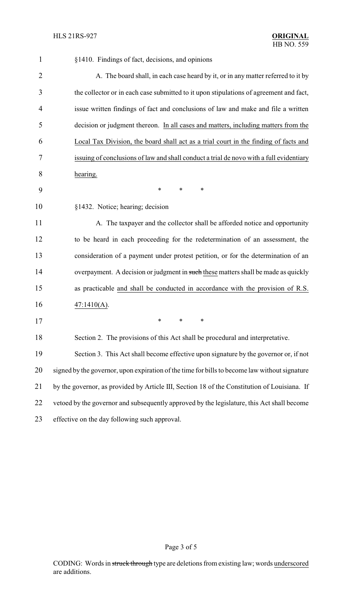| §1410. Findings of fact, decisions, and opinions                                              |
|-----------------------------------------------------------------------------------------------|
| A. The board shall, in each case heard by it, or in any matter referred to it by              |
| the collector or in each case submitted to it upon stipulations of agreement and fact,        |
| issue written findings of fact and conclusions of law and make and file a written             |
| decision or judgment thereon. In all cases and matters, including matters from the            |
| Local Tax Division, the board shall act as a trial court in the finding of facts and          |
| issuing of conclusions of law and shall conduct a trial de novo with a full evidentiary       |
| hearing.                                                                                      |
| $\ast$<br>∗<br>∗                                                                              |
| §1432. Notice; hearing; decision                                                              |
| A. The taxpayer and the collector shall be afforded notice and opportunity                    |
| to be heard in each proceeding for the redetermination of an assessment, the                  |
| consideration of a payment under protest petition, or for the determination of an             |
| overpayment. A decision or judgment in such these matters shall be made as quickly            |
| as practicable and shall be conducted in accordance with the provision of R.S.                |
| 47:1410(A).                                                                                   |
| $*$ $*$<br>∗                                                                                  |
| Section 2. The provisions of this Act shall be procedural and interpretative.                 |
| Section 3. This Act shall become effective upon signature by the governor or, if not          |
| signed by the governor, upon expiration of the time for bills to become law without signature |
| by the governor, as provided by Article III, Section 18 of the Constitution of Louisiana. If  |
| vetoed by the governor and subsequently approved by the legislature, this Act shall become    |
| effective on the day following such approval.                                                 |
|                                                                                               |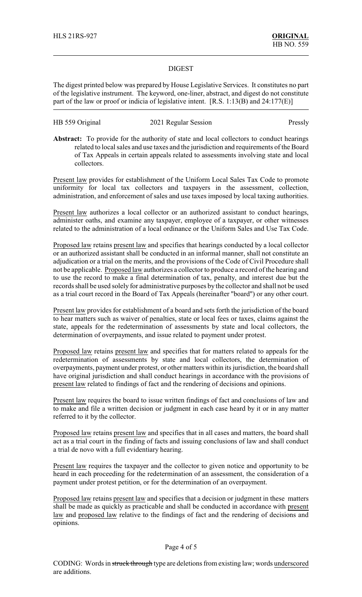### DIGEST

The digest printed below was prepared by House Legislative Services. It constitutes no part of the legislative instrument. The keyword, one-liner, abstract, and digest do not constitute part of the law or proof or indicia of legislative intent. [R.S. 1:13(B) and 24:177(E)]

HB 559 Original 2021 Regular Session Pressly

**Abstract:** To provide for the authority of state and local collectors to conduct hearings related to local sales and use taxes and the jurisdiction and requirements of the Board of Tax Appeals in certain appeals related to assessments involving state and local collectors.

Present law provides for establishment of the Uniform Local Sales Tax Code to promote uniformity for local tax collectors and taxpayers in the assessment, collection, administration, and enforcement of sales and use taxes imposed by local taxing authorities.

Present law authorizes a local collector or an authorized assistant to conduct hearings, administer oaths, and examine any taxpayer, employee of a taxpayer, or other witnesses related to the administration of a local ordinance or the Uniform Sales and Use Tax Code.

Proposed law retains present law and specifies that hearings conducted by a local collector or an authorized assistant shall be conducted in an informal manner, shall not constitute an adjudication or a trial on the merits, and the provisions of the Code of Civil Procedure shall not be applicable. Proposed law authorizes a collector to produce a record of the hearing and to use the record to make a final determination of tax, penalty, and interest due but the records shall be used solely for administrative purposes by the collector and shall not be used as a trial court record in the Board of Tax Appeals (hereinafter "board") or any other court.

Present law provides for establishment of a board and sets forth the jurisdiction of the board to hear matters such as waiver of penalties, state or local fees or taxes, claims against the state, appeals for the redetermination of assessments by state and local collectors, the determination of overpayments, and issue related to payment under protest.

Proposed law retains present law and specifies that for matters related to appeals for the redetermination of assessments by state and local collectors, the determination of overpayments, payment under protest, or other matters within its jurisdiction, the board shall have original jurisdiction and shall conduct hearings in accordance with the provisions of present law related to findings of fact and the rendering of decisions and opinions.

Present law requires the board to issue written findings of fact and conclusions of law and to make and file a written decision or judgment in each case heard by it or in any matter referred to it by the collector.

Proposed law retains present law and specifies that in all cases and matters, the board shall act as a trial court in the finding of facts and issuing conclusions of law and shall conduct a trial de novo with a full evidentiary hearing.

Present law requires the taxpayer and the collector to given notice and opportunity to be heard in each proceeding for the redetermination of an assessment, the consideration of a payment under protest petition, or for the determination of an overpayment.

Proposed law retains present law and specifies that a decision or judgment in these matters shall be made as quickly as practicable and shall be conducted in accordance with present law and proposed law relative to the findings of fact and the rendering of decisions and opinions.

#### Page 4 of 5